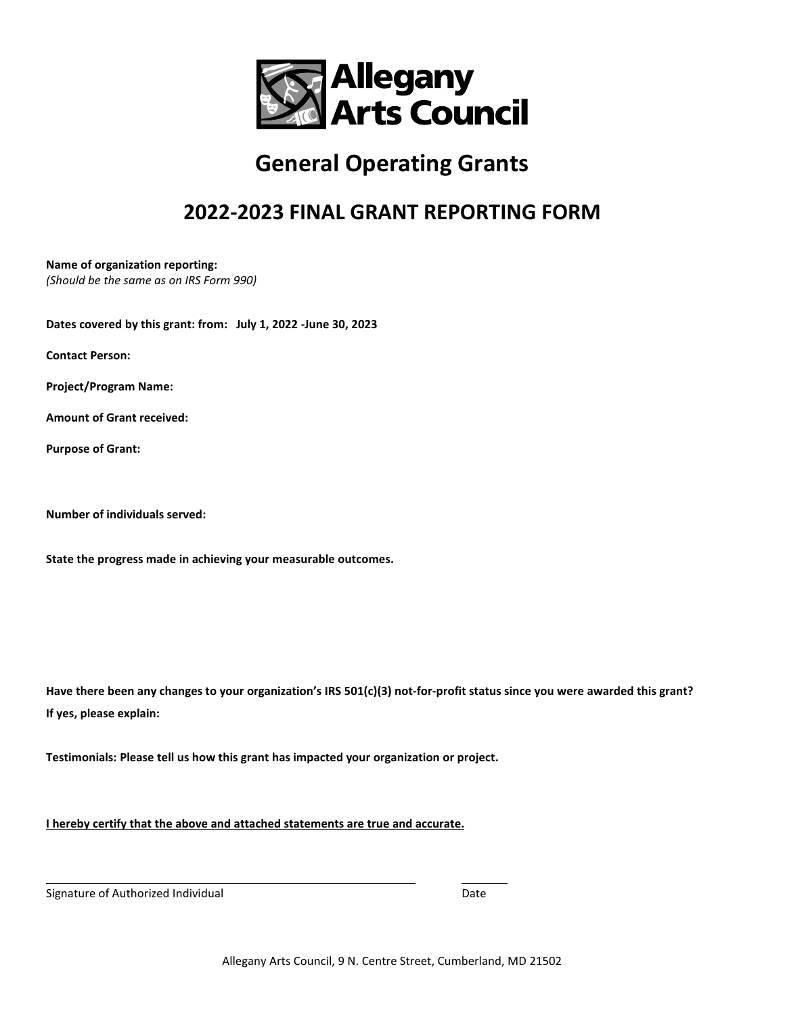

## **General Operating Grants**

## **2022-2023 FINAL GRANT REPORTING FORM**

**Name of organization reporting:**  *(Should be the same as on IRS Form 990)*

**Dates covered by this grant: from: July 1, 2022 -June 30, 2023**

**Contact Person:** 

**Project/Program Name:** 

**Amount of Grant received:** 

**Purpose of Grant:** 

**Number of individuals served:** 

**State the progress made in achieving your measurable outcomes.** 

**Have there been any changes to your organization's IRS 501(c)(3) not-for-profit status since you were awarded this grant? If yes, please explain:** 

**Testimonials: Please tell us how this grant has impacted your organization or project.**

**I hereby certify that the above and attached statements are true and accurate.** 

Signature of Authorized Individual and the Controller of Authorized Individual Date